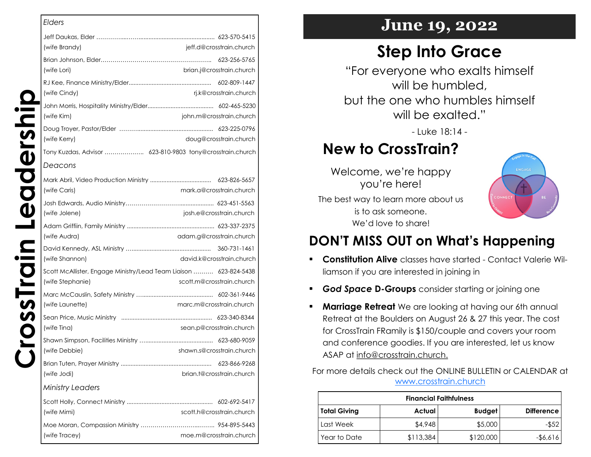|                                                                   | <b>Elders</b>           |
|-------------------------------------------------------------------|-------------------------|
|                                                                   |                         |
| jeff.d@crosstrain.church                                          | (wife Brandy)           |
|                                                                   |                         |
| brian.j@crosstrain.church                                         | (wife Lori)             |
|                                                                   |                         |
| rj.k@crosstrain.church                                            | (wife Cindy)            |
|                                                                   |                         |
| john.m@crosstrain.church                                          | (wife Kim)              |
|                                                                   | (wife Kerry)            |
| doug@crosstrain.church                                            |                         |
| Tony Kuzdas, Advisor  623-810-9803 tony@crosstrain.church         |                         |
|                                                                   | Deacons                 |
|                                                                   |                         |
| mark.a@crosstrain.church                                          | (wife Caris)            |
|                                                                   |                         |
| josh.e@crosstrain.church                                          | (wife Jolene)           |
|                                                                   |                         |
| adam.g@crosstrain.church                                          | (wife Audra)            |
|                                                                   |                         |
| david.k@crosstrain.church                                         | (wife Shannon)          |
| Scott McAllister, Engage Ministry/Lead Team Liaison  623-824-5438 |                         |
| scott.m@crosstrain.church                                         | (wife Stephanie)        |
|                                                                   |                         |
| marc.m@crosstrain.church                                          | (wife Launette)         |
|                                                                   |                         |
| sean.p@crosstrain.church                                          | (wife Tina)             |
|                                                                   |                         |
| shawn.s@crosstrain.church                                         | (wife Debbie)           |
|                                                                   |                         |
| brian.t@crosstrain.church                                         | (wife Jodi)             |
|                                                                   | <b>Ministry Leaders</b> |
|                                                                   |                         |
| scott.h@crosstrain.church                                         | (wife Mimi)             |
|                                                                   |                         |
| moe.m@crosstrain.church                                           | (wife Tracey)           |

### **June 19, 2022**

# **Step Into Grace**

"For everyone who exalts himself will be humbled. but the one who humbles himself will be exalted."

- Luke 18:14 -

## **New to CrossTrain?**

Welcome, we're happy you're here!



The best way to learn more about us is to ask someone. We'd love to share!

### **DON'T MISS OUT on What's Happening**

- **Constitution Alive** classes have started Contact Valerie Williamson if you are interested in joining in
- *God Space* **D-Groups** consider starting or joining one
- **Marriage Retreat** We are looking at having our 6th annual Retreat at the Boulders on August 26 & 27 this year. The cost for CrossTrain FRamily is \$150/couple and covers your room and conference goodies. If you are interested, let us know ASAP at info@crosstrain.church.

For more details check out the ONLINE BULLETIN or CALENDAR at [www.crosstrain.church](https://www.crosstrain.church/)

|                     |           | <b>Financial Faithfulness</b> |                   |
|---------------------|-----------|-------------------------------|-------------------|
| <b>Total Giving</b> | Actual    | <b>Budget</b>                 | <b>Difference</b> |
| Last Week           | \$4,948   | \$5,000                       | -\$52             |
| Year to Date        | \$113,384 | \$120,000                     | -\$6,616          |